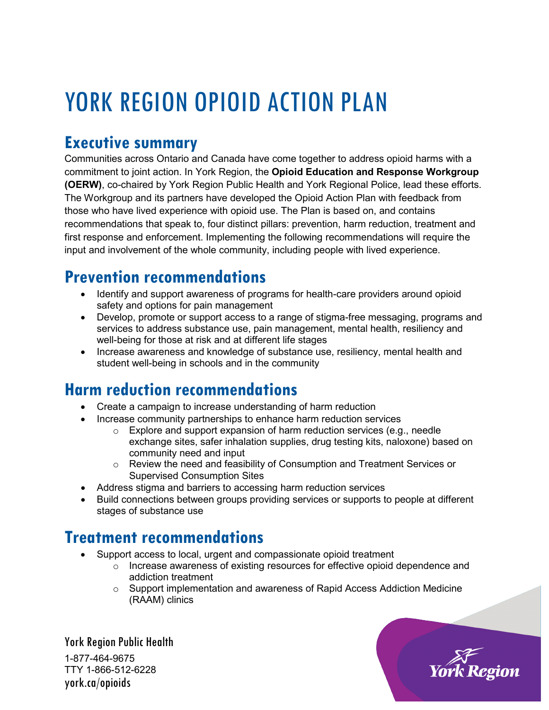# YORK REGION OPIOID ACTION PLAN

## **Executive summary**

Communities across Ontario and Canada have come together to address opioid harms with a commitment to joint action. In York Region, the **Opioid Education and Response Workgroup (OERW)**, co-chaired by York Region Public Health and York Regional Police, lead these efforts. The Workgroup and its partners have developed the Opioid Action Plan with feedback from those who have lived experience with opioid use. The Plan is based on, and contains recommendations that speak to, four distinct pillars: prevention, harm reduction, treatment and first response and enforcement. Implementing the following recommendations will require the input and involvement of the whole community, including people with lived experience.

## **Prevention recommendations**

- Identify and support awareness of programs for health-care providers around opioid safety and options for pain management
- Develop, promote or support access to a range of stigma-free messaging, programs and services to address substance use, pain management, mental health, resiliency and well-being for those at risk and at different life stages
- Increase awareness and knowledge of substance use, resiliency, mental health and student well-being in schools and in the community

#### **Harm reduction recommendations**

- Create a campaign to increase understanding of harm reduction
- Increase community partnerships to enhance harm reduction services
	- o Explore and support expansion of harm reduction services (e.g., needle exchange sites, safer inhalation supplies, drug testing kits, naloxone) based on community need and input
	- $\circ$  Review the need and feasibility of Consumption and Treatment Services or Supervised Consumption Sites
- Address stigma and barriers to accessing harm reduction services
- Build connections between groups providing services or supports to people at different stages of substance use

#### **Treatment recommendations**

- Support access to local, urgent and compassionate opioid treatment
	- o Increase awareness of existing resources for effective opioid dependence and addiction treatment
	- $\circ$  Support implementation and awareness of Rapid Access Addiction Medicine (RAAM) clinics

York Region Public Health 1-877-464-9675 TTY 1-866-512-6228 york.ca/opioids